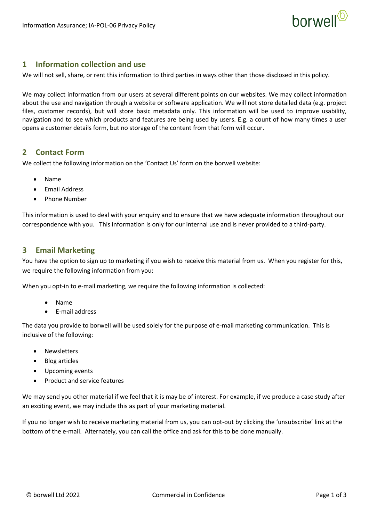

## **1 Information collection and use**

We will not sell, share, or rent this information to third parties in ways other than those disclosed in this policy.

We may collect information from our users at several different points on our websites. We may collect information about the use and navigation through a website or software application. We will not store detailed data (e.g. project files, customer records), but will store basic metadata only. This information will be used to improve usability, navigation and to see which products and features are being used by users. E.g. a count of how many times a user opens a customer details form, but no storage of the content from that form will occur.

## **2 Contact Form**

We collect the following information on the 'Contact Us' form on the borwell website:

- Name
- Email Address
- Phone Number

This information is used to deal with your enquiry and to ensure that we have adequate information throughout our correspondence with you. This information is only for our internal use and is never provided to a third-party.

## **3 Email Marketing**

You have the option to sign up to marketing if you wish to receive this material from us. When you register for this, we require the following information from you:

When you opt-in to e-mail marketing, we require the following information is collected:

- Name
- E-mail address

The data you provide to borwell will be used solely for the purpose of e-mail marketing communication. This is inclusive of the following:

- **Newsletters**
- Blog articles
- Upcoming events
- Product and service features

We may send you other material if we feel that it is may be of interest. For example, if we produce a case study after an exciting event, we may include this as part of your marketing material.

If you no longer wish to receive marketing material from us, you can opt-out by clicking the 'unsubscribe' link at the bottom of the e-mail. Alternately, you can call the office and ask for this to be done manually.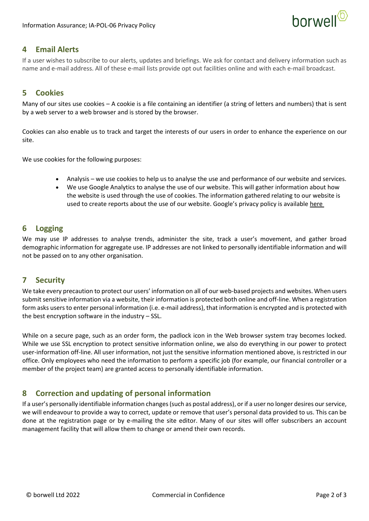

## **4 Email Alerts**

If a user wishes to subscribe to our alerts, updates and briefings. We ask for contact and delivery information such as name and e-mail address. All of these e-mail lists provide opt out facilities online and with each e-mail broadcast.

# **5 Cookies**

Many of our sites use cookies – A cookie is a file containing an identifier (a string of letters and numbers) that is sent by a web server to a web browser and is stored by the browser.

Cookies can also enable us to track and target the interests of our users in order to enhance the experience on our site.

We use cookies for the following purposes:

- Analysis we use cookies to help us to analyse the use and performance of our website and services.
- We use Google Analytics to analyse the use of our website. This will gather information about how the website is used through the use of cookies. The information gathered relating to our website is used to create reports about the use of our website. Google's privacy policy is available [here](https://www.google.com/policies/privacy/)

## **6 Logging**

We may use IP addresses to analyse trends, administer the site, track a user's movement, and gather broad demographic information for aggregate use. IP addresses are not linked to personally identifiable information and will not be passed on to any other organisation.

# **7 Security**

We take every precaution to protect our users' information on all of our web-based projects and websites. When users submit sensitive information via a website, their information is protected both online and off-line. When a registration form asks users to enter personal information (i.e. e-mail address), that information is encrypted and is protected with the best encryption software in the industry – SSL.

While on a secure page, such as an order form, the padlock icon in the Web browser system tray becomes locked. While we use SSL encryption to protect sensitive information online, we also do everything in our power to protect user-information off-line. All user information, not just the sensitive information mentioned above, is restricted in our office. Only employees who need the information to perform a specific job (for example, our financial controller or a member of the project team) are granted access to personally identifiable information.

# **8 Correction and updating of personal information**

If a user's personally identifiable information changes (such as postal address), or if a user no longer desires our service, we will endeavour to provide a way to correct, update or remove that user's personal data provided to us. This can be done at the registration page or by e-mailing the site editor. Many of our sites will offer subscribers an account management facility that will allow them to change or amend their own records.